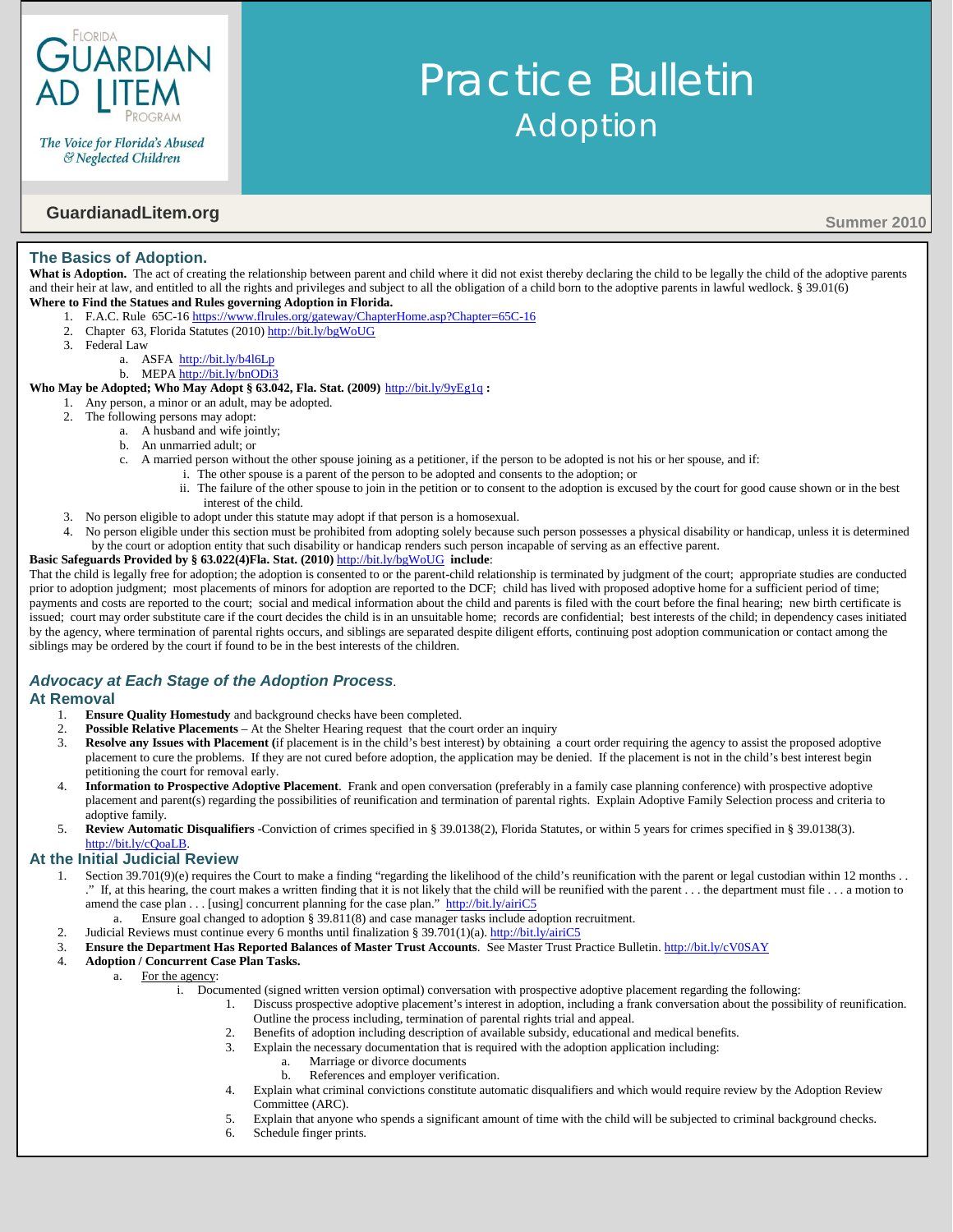

The Voice for Florida's Abused & Neglected Children

# **GuardianadLitem.org** Summer 2010

### **The Basics of Adoption.**

What is Adoption. The act of creating the relationship between parent and child where it did not exist thereby declaring the child to be legally the child of the adoptive parents and their heir at law, and entitled to all the rights and privileges and subject to all the obligation of a child born to the adoptive parents in lawful wedlock. § 39.01(6) **Where to Find the Statues and Rules governing Adoption in Florida.**

- 1. F.A.C. Rule 65C-16 <https://www.flrules.org/gateway/ChapterHome.asp?Chapter=65C-16>
- 2. Chapter 63, Florida Statutes (2010[\) http://bit.ly/bgWoUG](http://bit.ly/bgWoUG)
- 3. Federal Law
	- a. ASFA<http://bit.ly/b4l6Lp>
	- b. MEPA <http://bit.ly/bnODi3>

#### **Who May be Adopted; Who May Adopt § 63.042, Fla. Stat. (2009)** <http://bit.ly/9yEg1q> **:**

- 1. Any person, a minor or an adult, may be adopted.
- 2. The following persons may adopt:
	- a. A husband and wife jointly;
	- b. An unmarried adult; or
	- c. A married person without the other spouse joining as a petitioner, if the person to be adopted is not his or her spouse, and if:
		- i. The other spouse is a parent of the person to be adopted and consents to the adoption; or
			- ii. The failure of the other spouse to join in the petition or to consent to the adoption is excused by the court for good cause shown or in the best interest of the child.

Practice Bulletin

Adoption

- 3. No person eligible to adopt under this statute may adopt if that person is a homosexual.
- 4. No person eligible under this section must be prohibited from adopting solely because such person possesses a physical disability or handicap, unless it is determined by the court or adoption entity that such disability or handicap renders such person incapable of serving as an effective parent.

## **Basic Safeguards Provided by § 63.022(4)Fla. Stat. (2010)** <http://bit.ly/bgWoUG> **include**:

That the child is legally free for adoption; the adoption is consented to or the parent-child relationship is terminated by judgment of the court; appropriate studies are conducted prior to adoption judgment; most placements of minors for adoption are reported to the DCF; child has lived with proposed adoptive home for a sufficient period of time; payments and costs are reported to the court; social and medical information about the child and parents is filed with the court before the final hearing; new birth certificate is issued; court may order substitute care if the court decides the child is in an unsuitable home; records are confidential; best interests of the child; in dependency cases initiated by the agency, where termination of parental rights occurs, and siblings are separated despite diligent efforts, continuing post adoption communication or contact among the siblings may be ordered by the court if found to be in the best interests of the children.

## *Advocacy at Each Stage of the Adoption Process.*

#### **At Removal**

- 1. **Ensure Quality Homestudy** and background checks have been completed.
- 2. **Possible Relative Placements** At the Shelter Hearing request that the court order an inquiry
- 3. **Resolve any Issues with Placement (**if placement is in the child's best interest) by obtaining a court order requiring the agency to assist the proposed adoptive placement to cure the problems. If they are not cured before adoption, the application may be denied. If the placement is not in the child's best interest begin petitioning the court for removal early.
- 4. **Information to Prospective Adoptive Placement**. Frank and open conversation (preferably in a family case planning conference) with prospective adoptive placement and parent(s) regarding the possibilities of reunification and termination of parental rights. Explain Adoptive Family Selection process and criteria to adoptive family.
- 5. **Review Automatic Disqualifiers** -Conviction of crimes specified in § 39.0138(2), Florida Statutes, or within 5 years for crimes specified in § 39.0138(3). [http://bit.ly/cQoaLB.](http://bit.ly/cQoaLB)

#### **At the Initial Judicial Review**

- Section 39.701(9)(e) requires the Court to make a finding "regarding the likelihood of the child's reunification with the parent or legal custodian within 12 months .. ." If, at this hearing, the court makes a written finding that it is not likely that the child will be reunified with the parent  $\dots$  the department must file  $\dots$  a motion to amend the case plan . . . [using] concurrent planning for the case plan."<http://bit.ly/airiC5>
	- Ensure goal changed to adoption § 39.811(8) and case manager tasks include adoption recruitment.
- 2. Judicial Reviews must continue every 6 months until finalization § 39.701(1)(a). <http://bit.ly/airiC5>
- 3. **Ensure the Department Has Reported Balances of Master Trust Accounts**. See Master Trust Practice Bulletin[. http://bit.ly/cV0SAY](http://bit.ly/cV0SAY)

#### 4. **Adoption / Concurrent Case Plan Tasks.**

- For the agency:
	- i. Documented (signed written version optimal) conversation with prospective adoptive placement regarding the following:
		- 1. Discuss prospective adoptive placement's interest in adoption, including a frank conversation about the possibility of reunification. Outline the process including, termination of parental rights trial and appeal.
		- Benefits of adoption including description of available subsidy, educational and medical benefits.
		- 3. Explain the necessary documentation that is required with the adoption application including:
			- a. Marriage or divorce documents
			- b. References and employer verification.
		- 4. Explain what criminal convictions constitute automatic disqualifiers and which would require review by the Adoption Review Committee (ARC).
		- 5. Explain that anyone who spends a significant amount of time with the child will be subjected to criminal background checks.
		- 6. Schedule finger prints.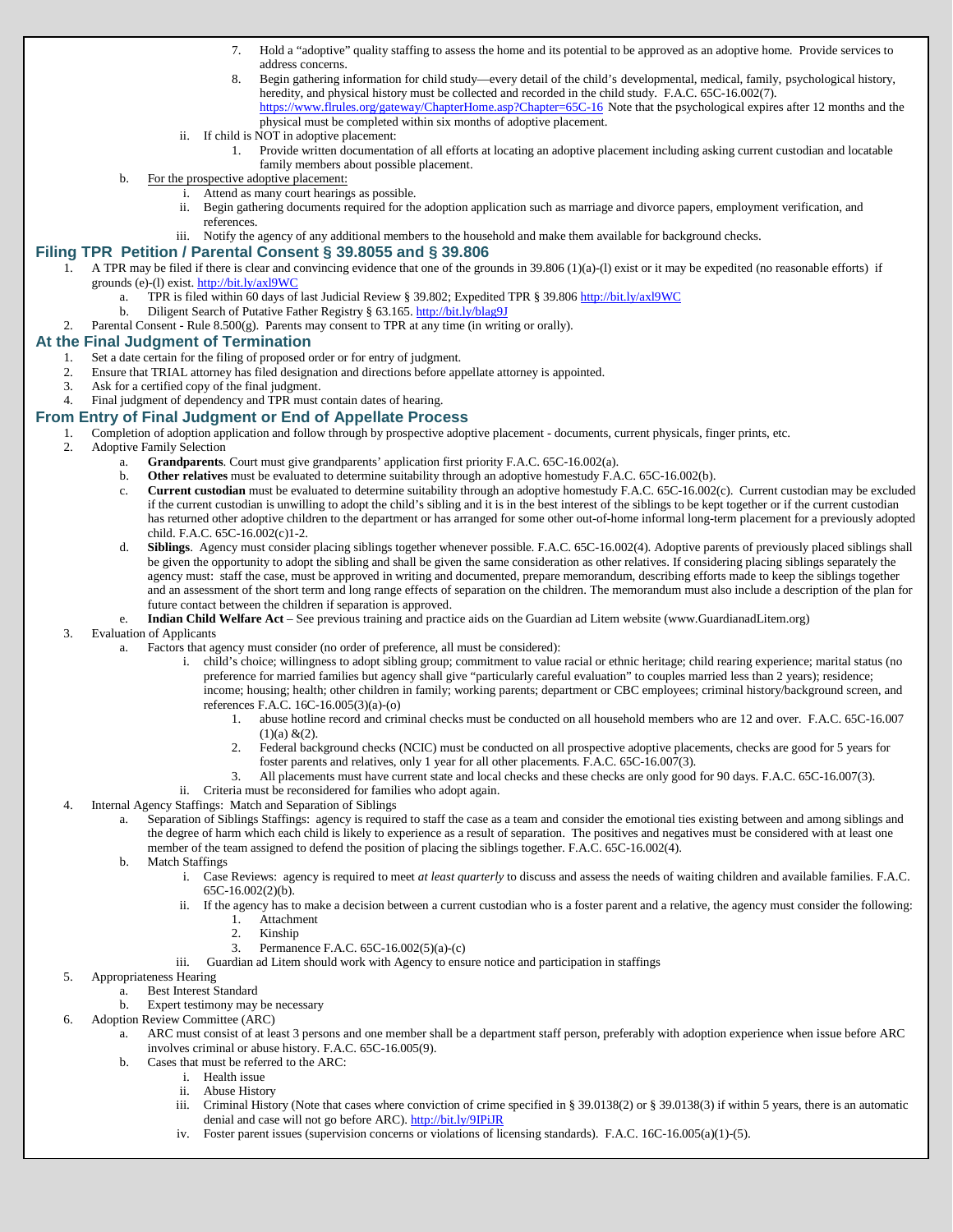- 7. Hold a "adoptive" quality staffing to assess the home and its potential to be approved as an adoptive home. Provide services to address concerns.
- 8. Begin gathering information for child study—every detail of the child's developmental, medical, family, psychological history, heredity, and physical history must be collected and recorded in the child study. F.A.C. 65C-16.002(7). <https://www.flrules.org/gateway/ChapterHome.asp?Chapter=65C-16> Note that the psychological expires after 12 months and the physical must be completed within six months of adoptive placement.
- ii. If child is NOT in adoptive placement:
	- 1. Provide written documentation of all efforts at locating an adoptive placement including asking current custodian and locatable family members about possible placement.
- For the prospective adoptive placement:
	- i. Attend as many court hearings as possible.
	- ii. Begin gathering documents required for the adoption application such as marriage and divorce papers, employment verification, and references.
	- iii. Notify the agency of any additional members to the household and make them available for background checks.

#### **Filing TPR Petition / Parental Consent § 39.8055 and § 39.806**

- 1. A TPR may be filed if there is clear and convincing evidence that one of the grounds in 39.806 (1)(a)-(l) exist or it may be expedited (no reasonable efforts) if grounds (e)-(l) exist. <http://bit.ly/axl9WC>
	- a. TPR is filed within 60 days of last Judicial Review § 39.802; Expedited TPR § 39.806 <http://bit.ly/axl9WC>
		- b. Diligent Search of Putative Father Registry § 63.165[. http://bit.ly/blag9J](http://bit.ly/blag9J)
- 2. Parental Consent Rule 8.500(g). Parents may consent to TPR at any time (in writing or orally).

# **At the Final Judgment of Termination**

- 1. Set a date certain for the filing of proposed order or for entry of judgment.
- 2. Ensure that TRIAL attorney has filed designation and directions before appellate attorney is appointed.
- 3. Ask for a certified copy of the final judgment.
- 4. Final judgment of dependency and TPR must contain dates of hearing.

### **From Entry of Final Judgment or End of Appellate Process**

- 1. Completion of adoption application and follow through by prospective adoptive placement documents, current physicals, finger prints, etc.
	- 2. Adoptive Family Selection
		- a. **Grandparents**. Court must give grandparents' application first priority F.A.C. 65C-16.002(a).
		- b. **Other relatives** must be evaluated to determine suitability through an adoptive homestudy F.A.C. 65C-16.002(b).
		- c. **Current custodian** must be evaluated to determine suitability through an adoptive homestudy F.A.C. 65C-16.002(c). Current custodian may be excluded if the current custodian is unwilling to adopt the child's sibling and it is in the best interest of the siblings to be kept together or if the current custodian has returned other adoptive children to the department or has arranged for some other out-of-home informal long-term placement for a previously adopted child. F.A.C. 65C-16.002(c)1-2.
		- d. **Siblings**. Agency must consider placing siblings together whenever possible. F.A.C. 65C-16.002(4). Adoptive parents of previously placed siblings shall be given the opportunity to adopt the sibling and shall be given the same consideration as other relatives. If considering placing siblings separately the agency must: staff the case, must be approved in writing and documented, prepare memorandum, describing efforts made to keep the siblings together and an assessment of the short term and long range effects of separation on the children. The memorandum must also include a description of the plan for future contact between the children if separation is approved.
		- e. **Indian Child Welfare Act** See previous training and practice aids on the Guardian ad Litem website (www.GuardianadLitem.org)

#### 3. Evaluation of Applicants

- a. Factors that agency must consider (no order of preference, all must be considered):
	- i. child's choice; willingness to adopt sibling group; commitment to value racial or ethnic heritage; child rearing experience; marital status (no preference for married families but agency shall give "particularly careful evaluation" to couples married less than 2 years); residence; income; housing; health; other children in family; working parents; department or CBC employees; criminal history/background screen, and references F.A.C. 16C-16.005(3)(a)-(o)
		- 1. abuse hotline record and criminal checks must be conducted on all household members who are 12 and over. F.A.C. 65C-16.007  $(1)(a) & (2)$ .
		- 2. Federal background checks (NCIC) must be conducted on all prospective adoptive placements, checks are good for 5 years for foster parents and relatives, only 1 year for all other placements. F.A.C. 65C-16.007(3).
		- 3. All placements must have current state and local checks and these checks are only good for 90 days. F.A.C. 65C-16.007(3).
	- ii. Criteria must be reconsidered for families who adopt again.
- 4. Internal Agency Staffings: Match and Separation of Siblings
	- Separation of Siblings Staffings: agency is required to staff the case as a team and consider the emotional ties existing between and among siblings and the degree of harm which each child is likely to experience as a result of separation. The positives and negatives must be considered with at least one member of the team assigned to defend the position of placing the siblings together. F.A.C. 65C-16.002(4).
	- b. Match Staffings
		- i. Case Reviews: agency is required to meet *at least quarterly* to discuss and assess the needs of waiting children and available families. F.A.C. 65C-16.002(2)(b).
		- ii. If the agency has to make a decision between a current custodian who is a foster parent and a relative, the agency must consider the following: 1. Attachment
			-
			- 2. Kinship<br>3. Permane Permanence F.A.C. 65C-16.002(5)(a)-(c)
		- iii. Guardian ad Litem should work with Agency to ensure notice and participation in staffings
- 5. Appropriateness Hearing
	- a. Best Interest Standard
		- b. Expert testimony may be necessary
- 6. Adoption Review Committee (ARC)
	- a. ARC must consist of at least 3 persons and one member shall be a department staff person, preferably with adoption experience when issue before ARC involves criminal or abuse history. F.A.C. 65C-16.005(9).
	- b. Cases that must be referred to the ARC:
		- i. Health issue
		- ii. Abuse History
		- iii. Criminal History (Note that cases where conviction of crime specified in § 39.0138(2) or § 39.0138(3) if within 5 years, there is an automatic denial and case will not go before ARC). <http://bit.ly/9IPiJR>
		- iv. Foster parent issues (supervision concerns or violations of licensing standards). F.A.C. 16C-16.005(a)(1)-(5).